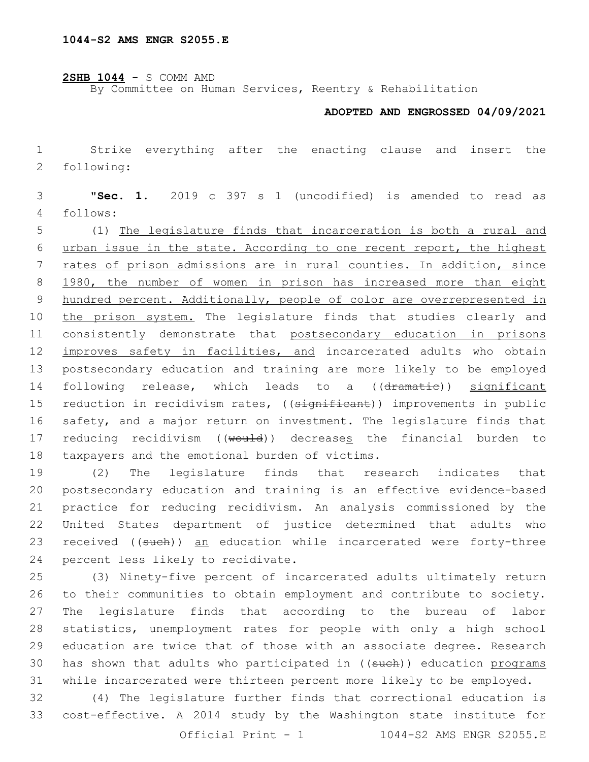**2SHB 1044** - S COMM AMD

By Committee on Human Services, Reentry & Rehabilitation

## **ADOPTED AND ENGROSSED 04/09/2021**

 Strike everything after the enacting clause and insert the following:2

 "**Sec. 1.** 2019 c 397 s 1 (uncodified) is amended to read as follows:4

 (1) The legislature finds that incarceration is both a rural and urban issue in the state. According to one recent report, the highest rates of prison admissions are in rural counties. In addition, since 1980, the number of women in prison has increased more than eight hundred percent. Additionally, people of color are overrepresented in 10 the prison system. The legislature finds that studies clearly and consistently demonstrate that postsecondary education in prisons improves safety in facilities, and incarcerated adults who obtain postsecondary education and training are more likely to be employed 14 following release, which leads to a ((dramatie)) significant 15 reduction in recidivism rates, ((significant)) improvements in public safety, and a major return on investment. The legislature finds that 17 reducing recidivism ((would)) decreases the financial burden to 18 taxpayers and the emotional burden of victims.

 (2) The legislature finds that research indicates that postsecondary education and training is an effective evidence-based practice for reducing recidivism. An analysis commissioned by the United States department of justice determined that adults who 23 received ((such)) an education while incarcerated were forty-three 24 percent less likely to recidivate.

 (3) Ninety-five percent of incarcerated adults ultimately return to their communities to obtain employment and contribute to society. The legislature finds that according to the bureau of labor statistics, unemployment rates for people with only a high school education are twice that of those with an associate degree. Research 30 has shown that adults who participated in ((such)) education programs while incarcerated were thirteen percent more likely to be employed.

 (4) The legislature further finds that correctional education is cost-effective. A 2014 study by the Washington state institute for Official Print  $-1$  1044-S2 AMS ENGR S2055.E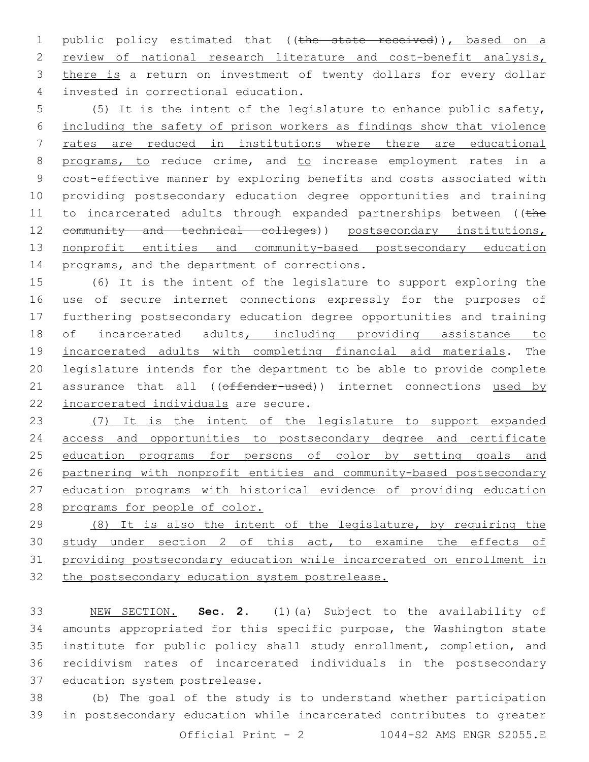1 public policy estimated that ((the state received)), based on a 2 review of national research literature and cost-benefit analysis, 3 there is a return on investment of twenty dollars for every dollar invested in correctional education.4

 (5) It is the intent of the legislature to enhance public safety, including the safety of prison workers as findings show that violence rates are reduced in institutions where there are educational 8 programs, to reduce crime, and to increase employment rates in a cost-effective manner by exploring benefits and costs associated with providing postsecondary education degree opportunities and training 11 to incarcerated adults through expanded partnerships between ((the 12 community and technical colleges)) postsecondary institutions, 13 nonprofit entities and community-based postsecondary education 14 programs, and the department of corrections.

 (6) It is the intent of the legislature to support exploring the use of secure internet connections expressly for the purposes of furthering postsecondary education degree opportunities and training of incarcerated adults, including providing assistance to incarcerated adults with completing financial aid materials. The legislature intends for the department to be able to provide complete 21 assurance that all ((offender-used)) internet connections used by 22 incarcerated individuals are secure.

 (7) It is the intent of the legislature to support expanded access and opportunities to postsecondary degree and certificate 25 education programs for persons of color by setting goals and partnering with nonprofit entities and community-based postsecondary education programs with historical evidence of providing education programs for people of color.

 (8) It is also the intent of the legislature, by requiring the 30 study under section 2 of this act, to examine the effects of providing postsecondary education while incarcerated on enrollment in the postsecondary education system postrelease.

 NEW SECTION. **Sec. 2.** (1)(a) Subject to the availability of amounts appropriated for this specific purpose, the Washington state institute for public policy shall study enrollment, completion, and recidivism rates of incarcerated individuals in the postsecondary education system postrelease.

 (b) The goal of the study is to understand whether participation in postsecondary education while incarcerated contributes to greater Official Print - 2 1044-S2 AMS ENGR S2055.E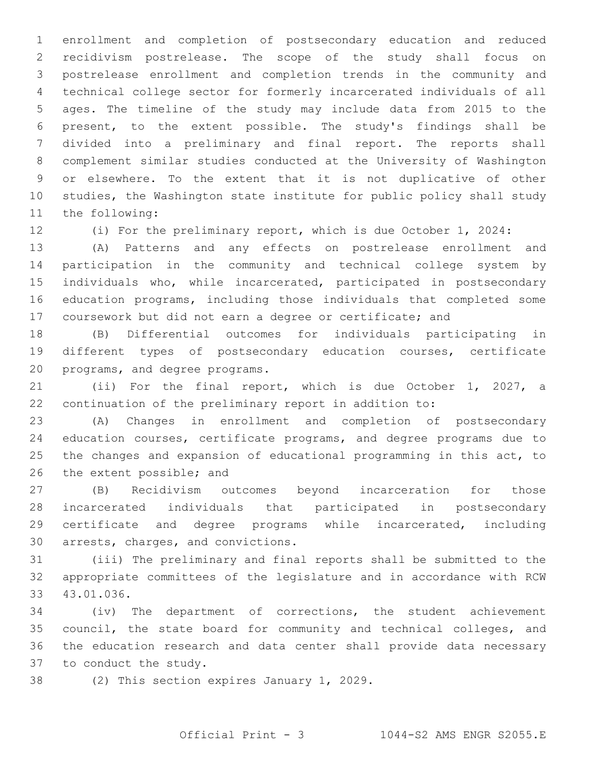enrollment and completion of postsecondary education and reduced recidivism postrelease. The scope of the study shall focus on postrelease enrollment and completion trends in the community and technical college sector for formerly incarcerated individuals of all ages. The timeline of the study may include data from 2015 to the present, to the extent possible. The study's findings shall be divided into a preliminary and final report. The reports shall complement similar studies conducted at the University of Washington or elsewhere. To the extent that it is not duplicative of other studies, the Washington state institute for public policy shall study 11 the following:

(i) For the preliminary report, which is due October 1, 2024:

 (A) Patterns and any effects on postrelease enrollment and participation in the community and technical college system by individuals who, while incarcerated, participated in postsecondary education programs, including those individuals that completed some coursework but did not earn a degree or certificate; and

 (B) Differential outcomes for individuals participating in different types of postsecondary education courses, certificate 20 programs, and degree programs.

 (ii) For the final report, which is due October 1, 2027, a continuation of the preliminary report in addition to:

 (A) Changes in enrollment and completion of postsecondary education courses, certificate programs, and degree programs due to the changes and expansion of educational programming in this act, to 26 the extent possible; and

 (B) Recidivism outcomes beyond incarceration for those incarcerated individuals that participated in postsecondary certificate and degree programs while incarcerated, including 30 arrests, charges, and convictions.

 (iii) The preliminary and final reports shall be submitted to the appropriate committees of the legislature and in accordance with RCW 43.01.036.33

 (iv) The department of corrections, the student achievement council, the state board for community and technical colleges, and the education research and data center shall provide data necessary 37 to conduct the study.

38 (2) This section expires January 1, 2029.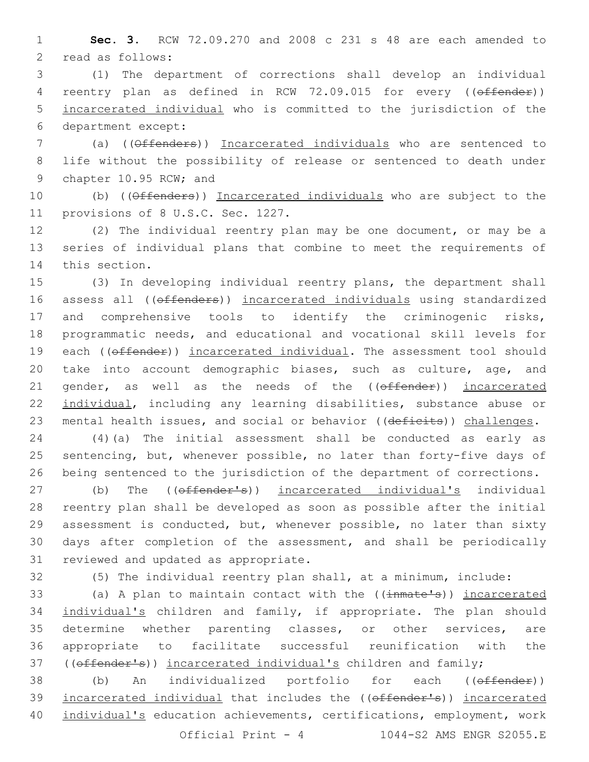1 **Sec. 3.** RCW 72.09.270 and 2008 c 231 s 48 are each amended to 2 read as follows:

3 (1) The department of corrections shall develop an individual 4 reentry plan as defined in RCW 72.09.015 for every ((offender)) 5 incarcerated individual who is committed to the jurisdiction of the department except:6

7 (a) ((Offenders)) Incarcerated individuals who are sentenced to 8 life without the possibility of release or sentenced to death under 9 chapter 10.95 RCW; and

10 (b) ((Offenders)) Incarcerated individuals who are subject to the 11 provisions of 8 U.S.C. Sec. 1227.

12 (2) The individual reentry plan may be one document, or may be a 13 series of individual plans that combine to meet the requirements of 14 this section.

15 (3) In developing individual reentry plans, the department shall 16 assess all ((offenders)) incarcerated individuals using standardized 17 and comprehensive tools to identify the criminogenic risks, 18 programmatic needs, and educational and vocational skill levels for 19 each (( $offender$ )) incarcerated individual. The assessment tool should 20 take into account demographic biases, such as culture, age, and 21 gender, as well as the needs of the ((offender)) incarcerated 22 individual, including any learning disabilities, substance abuse or 23 mental health issues, and social or behavior ((deficits)) challenges.

24 (4)(a) The initial assessment shall be conducted as early as 25 sentencing, but, whenever possible, no later than forty-five days of 26 being sentenced to the jurisdiction of the department of corrections.

27 (b) The (( $\theta$ ffender's)) incarcerated individual's individual 28 reentry plan shall be developed as soon as possible after the initial 29 assessment is conducted, but, whenever possible, no later than sixty 30 days after completion of the assessment, and shall be periodically 31 reviewed and updated as appropriate.

32 (5) The individual reentry plan shall, at a minimum, include:

33 (a) A plan to maintain contact with the ((inmate's)) incarcerated 34 individual's children and family, if appropriate. The plan should 35 determine whether parenting classes, or other services, are 36 appropriate to facilitate successful reunification with the 37 ((offender's)) incarcerated individual's children and family;

38 (b) An individualized portfolio for each ((offender)) 39 incarcerated individual that includes the ((offender's)) incarcerated 40 individual's education achievements, certifications, employment, work

Official Print - 4 1044-S2 AMS ENGR S2055.E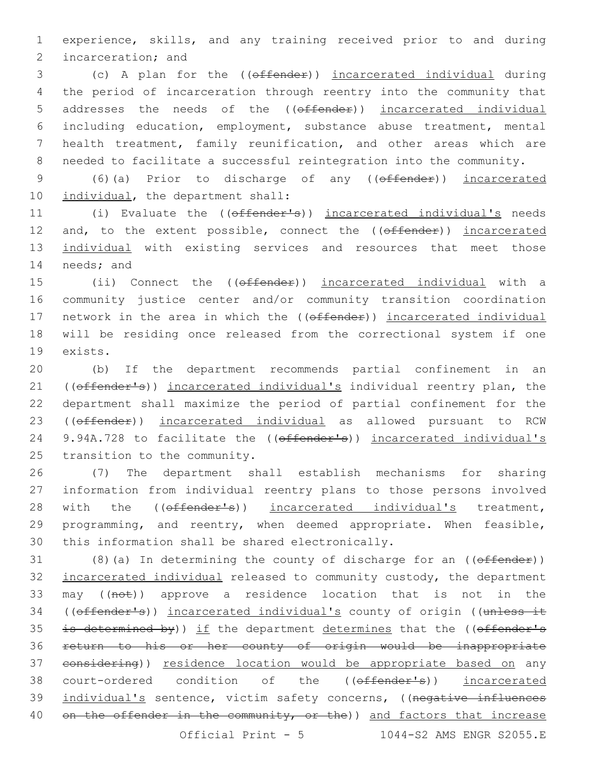1 experience, skills, and any training received prior to and during 2 incarceration; and

 (c) A plan for the ((offender)) incarcerated individual during the period of incarceration through reentry into the community that 5 addresses the needs of the ((offender)) incarcerated individual including education, employment, substance abuse treatment, mental health treatment, family reunification, and other areas which are needed to facilitate a successful reintegration into the community.

9 (6)(a) Prior to discharge of any (( $\theta$ ffender)) incarcerated 10 individual, the department shall:

11 (i) Evaluate the ((offender's)) incarcerated individual's needs 12 and, to the extent possible, connect the ((offender)) incarcerated 13 individual with existing services and resources that meet those 14 needs; and

15 (ii) Connect the ((offender)) incarcerated individual with a 16 community justice center and/or community transition coordination 17 network in the area in which the ((offender)) incarcerated individual 18 will be residing once released from the correctional system if one 19 exists.

20 (b) If the department recommends partial confinement in an 21 ((offender's)) incarcerated individual's individual reentry plan, the 22 department shall maximize the period of partial confinement for the 23 ((offender)) incarcerated individual as allowed pursuant to RCW 24 9.94A.728 to facilitate the ((offender's)) incarcerated individual's 25 transition to the community.

26 (7) The department shall establish mechanisms for sharing 27 information from individual reentry plans to those persons involved 28 with the ((offender's)) incarcerated individual's treatment, 29 programming, and reentry, when deemed appropriate. When feasible, 30 this information shall be shared electronically.

31 (8)(a) In determining the county of discharge for an  $($  ( $\theta$  ffender)) 32 incarcerated individual released to community custody, the department 33 may ((not)) approve a residence location that is not in the 34 ((offender's)) incarcerated individual's county of origin ((unless it 35 is determined by)) if the department determines that the (( $offender's$ 36 return to his or her county of origin would be inappropriate 37 considering)) residence location would be appropriate based on any 38 court-ordered condition of the ((offender's)) incarcerated 39 individual's sentence, victim safety concerns, ((negative influences 40 on the offender in the community, or the)) and factors that increase

Official Print - 5 1044-S2 AMS ENGR S2055.E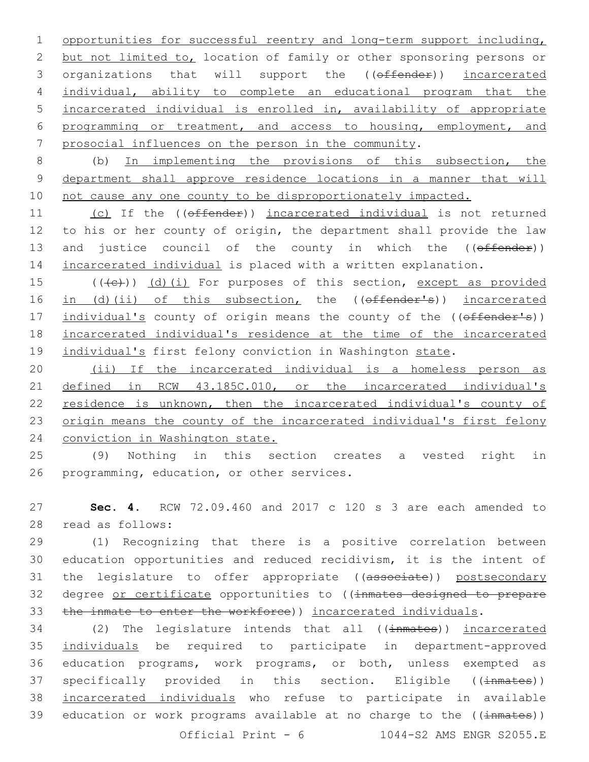opportunities for successful reentry and long-term support including, but not limited to, location of family or other sponsoring persons or 3 organizations that will support the ((offender)) incarcerated individual, ability to complete an educational program that the incarcerated individual is enrolled in, availability of appropriate programming or treatment, and access to housing, employment, and prosocial influences on the person in the community.

8 (b) In implementing the provisions of this subsection, the 9 department shall approve residence locations in a manner that will 10 not cause any one county to be disproportionately impacted.

11 (c) If the ((offender)) incarcerated individual is not returned 12 to his or her county of origin, the department shall provide the law 13 and justice council of the county in which the ((offender)) 14 incarcerated individual is placed with a written explanation.

 $15$  (( $\left(\frac{1}{10}\right)$ ) (d)(i) For purposes of this section, except as provided 16 in (d)(ii) of this subsection, the ((offender's)) incarcerated 17 individual's county of origin means the county of the ((effender's)) 18 incarcerated individual's residence at the time of the incarcerated 19 individual's first felony conviction in Washington state.

20 (ii) If the incarcerated individual is a homeless person as 21 defined in RCW 43.185C.010, or the incarcerated individual's 22 residence is unknown, then the incarcerated individual's county of 23 origin means the county of the incarcerated individual's first felony 24 conviction in Washington state.

25 (9) Nothing in this section creates a vested right in 26 programming, education, or other services.

27 **Sec. 4.** RCW 72.09.460 and 2017 c 120 s 3 are each amended to 28 read as follows:

29 (1) Recognizing that there is a positive correlation between 30 education opportunities and reduced recidivism, it is the intent of 31 the legislature to offer appropriate ((associate)) postsecondary 32 degree or certificate opportunities to ((inmates designed to prepare 33 the inmate to enter the workforce)) incarcerated individuals.

34 (2) The legislature intends that all ((inmates)) incarcerated 35 individuals be required to participate in department-approved 36 education programs, work programs, or both, unless exempted as 37 specifically provided in this section. Eligible ((inmates)) 38 incarcerated individuals who refuse to participate in available 39 education or work programs available at no charge to the  $(\{\text{immates})\})$ Official Print -  $6$  1044-S2 AMS ENGR S2055.E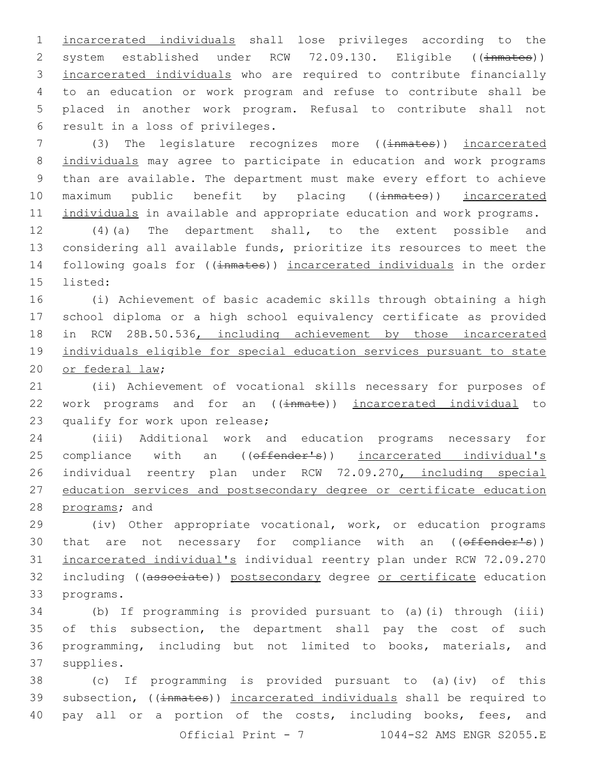incarcerated individuals shall lose privileges according to the 2 system established under RCW 72.09.130. Eligible ((inmates)) incarcerated individuals who are required to contribute financially to an education or work program and refuse to contribute shall be placed in another work program. Refusal to contribute shall not 6 result in a loss of privileges.

7 (3) The legislature recognizes more ((inmates)) incarcerated 8 individuals may agree to participate in education and work programs 9 than are available. The department must make every effort to achieve 10 maximum public benefit by placing ((inmates)) incarcerated 11 individuals in available and appropriate education and work programs.

12 (4)(a) The department shall, to the extent possible and 13 considering all available funds, prioritize its resources to meet the 14 following goals for ((inmates)) incarcerated individuals in the order 15 listed:

16 (i) Achievement of basic academic skills through obtaining a high 17 school diploma or a high school equivalency certificate as provided 18 in RCW 28B.50.536, including achievement by those incarcerated 19 individuals eligible for special education services pursuant to state 20 or federal law;

21 (ii) Achievement of vocational skills necessary for purposes of 22 work programs and for an ((inmate)) incarcerated individual to 23 qualify for work upon release;

24 (iii) Additional work and education programs necessary for 25 compliance with an ((offender's)) incarcerated individual's 26 individual reentry plan under RCW 72.09.270, including special 27 education services and postsecondary degree or certificate education 28 programs; and

29 (iv) Other appropriate vocational, work, or education programs 30 that are not necessary for compliance with an ((offender's)) 31 incarcerated individual's individual reentry plan under RCW 72.09.270 32 including ((associate)) postsecondary degree or certificate education 33 programs.

 (b) If programming is provided pursuant to (a)(i) through (iii) of this subsection, the department shall pay the cost of such programming, including but not limited to books, materials, and 37 supplies.

38 (c) If programming is provided pursuant to (a)(iv) of this 39 subsection, ((inmates)) incarcerated individuals shall be required to 40 pay all or a portion of the costs, including books, fees, and Official Print - 7 1044-S2 AMS ENGR S2055.E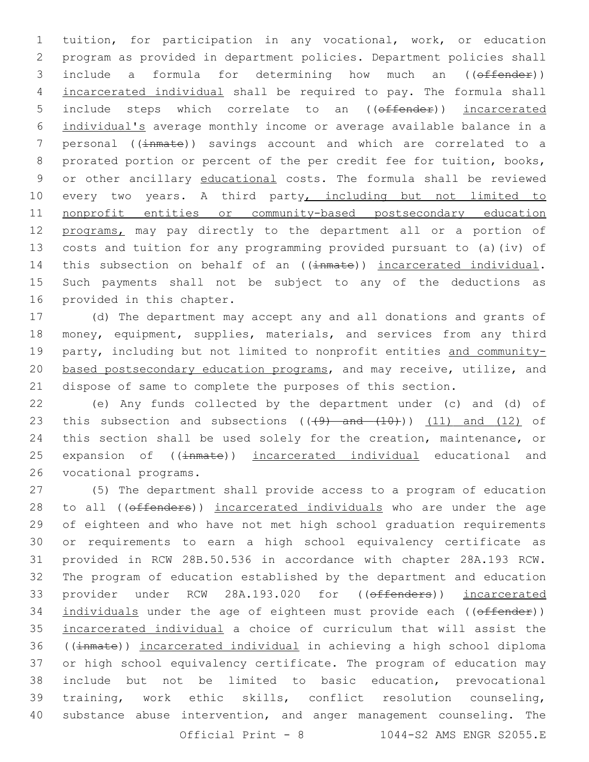1 tuition, for participation in any vocational, work, or education 2 program as provided in department policies. Department policies shall 3 include a formula for determining how much an ((offender)) 4 incarcerated individual shall be required to pay. The formula shall 5 include steps which correlate to an ((offender)) incarcerated 6 individual's average monthly income or average available balance in a 7 personal ((inmate)) savings account and which are correlated to a 8 prorated portion or percent of the per credit fee for tuition, books, 9 or other ancillary educational costs. The formula shall be reviewed 10 every two years. A third party, including but not limited to 11 nonprofit entities or community-based postsecondary education 12 programs, may pay directly to the department all or a portion of 13 costs and tuition for any programming provided pursuant to (a)(iv) of 14 this subsection on behalf of an ((inmate)) incarcerated individual. 15 Such payments shall not be subject to any of the deductions as 16 provided in this chapter.

17 (d) The department may accept any and all donations and grants of 18 money, equipment, supplies, materials, and services from any third 19 party, including but not limited to nonprofit entities and community-20 based postsecondary education programs, and may receive, utilize, and 21 dispose of same to complete the purposes of this section.

22 (e) Any funds collected by the department under (c) and (d) of 23 this subsection and subsections  $((+9)$  and  $(+10)$ )  $(11)$  and  $(12)$  of 24 this section shall be used solely for the creation, maintenance, or 25 expansion of ((inmate)) incarcerated individual educational and 26 vocational programs.

 (5) The department shall provide access to a program of education 28 to all ((offenders)) incarcerated individuals who are under the age of eighteen and who have not met high school graduation requirements or requirements to earn a high school equivalency certificate as provided in RCW 28B.50.536 in accordance with chapter 28A.193 RCW. The program of education established by the department and education 33 provider under RCW 28A.193.020 for ((effenders)) incarcerated 34 individuals under the age of eighteen must provide each ((offender)) incarcerated individual a choice of curriculum that will assist the ((inmate)) incarcerated individual in achieving a high school diploma or high school equivalency certificate. The program of education may include but not be limited to basic education, prevocational training, work ethic skills, conflict resolution counseling, substance abuse intervention, and anger management counseling. The Official Print - 8 1044-S2 AMS ENGR S2055.E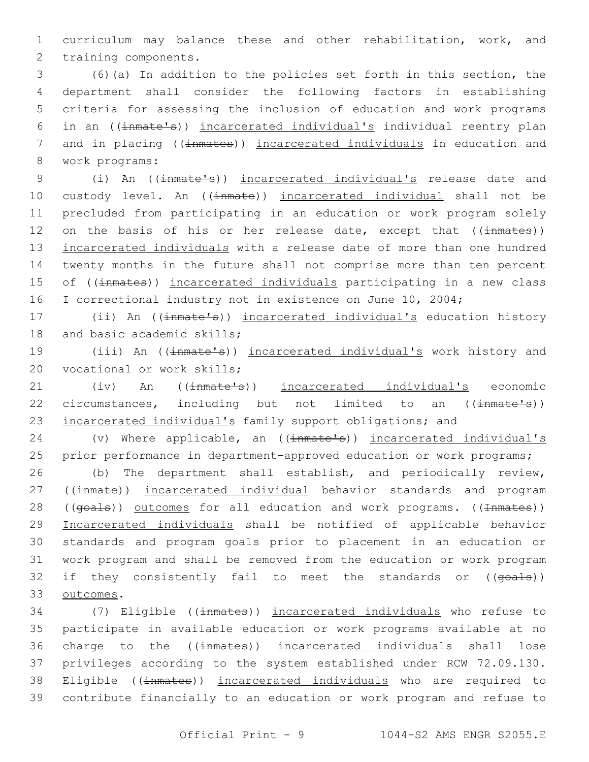1 curriculum may balance these and other rehabilitation, work, and 2 training components.

 (6)(a) In addition to the policies set forth in this section, the department shall consider the following factors in establishing criteria for assessing the inclusion of education and work programs in an ((inmate's)) incarcerated individual's individual reentry plan 7 and in placing ((inmates)) incarcerated individuals in education and 8 work programs:

9 (i) An ((inmate's)) incarcerated individual's release date and 10 custody level. An ((inmate)) incarcerated individual shall not be 11 precluded from participating in an education or work program solely 12 on the basis of his or her release date, except that  $(\text{immates})$ ) 13 incarcerated individuals with a release date of more than one hundred 14 twenty months in the future shall not comprise more than ten percent 15 of ((inmates)) incarcerated individuals participating in a new class 16 I correctional industry not in existence on June 10, 2004;

17 (ii) An ((inmate's)) incarcerated individual's education history 18 and basic academic skills;

19 (iii) An ((inmate's)) incarcerated individual's work history and 20 vocational or work skills;

21 (iv) An (( $\frac{1}{2}$ ) incarcerated individual's economic 22 circumstances, including but not limited to an (( $\frac{1}{2}$ mate's)) 23 incarcerated individual's family support obligations; and

24 (v) Where applicable, an ((inmate's)) incarcerated individual's 25 prior performance in department-approved education or work programs;

26 (b) The department shall establish, and periodically review, 27 ((inmate)) incarcerated individual behavior standards and program 28 ((goals)) outcomes for all education and work programs. ((Inmates)) 29 Incarcerated individuals shall be notified of applicable behavior 30 standards and program goals prior to placement in an education or 31 work program and shall be removed from the education or work program 32 if they consistently fail to meet the standards or ((goals)) 33 outcomes.

 (7) Eligible ((inmates)) incarcerated individuals who refuse to participate in available education or work programs available at no 36 charge to the ((inmates)) incarcerated individuals shall lose privileges according to the system established under RCW 72.09.130. 38 Eligible ((inmates)) incarcerated individuals who are required to contribute financially to an education or work program and refuse to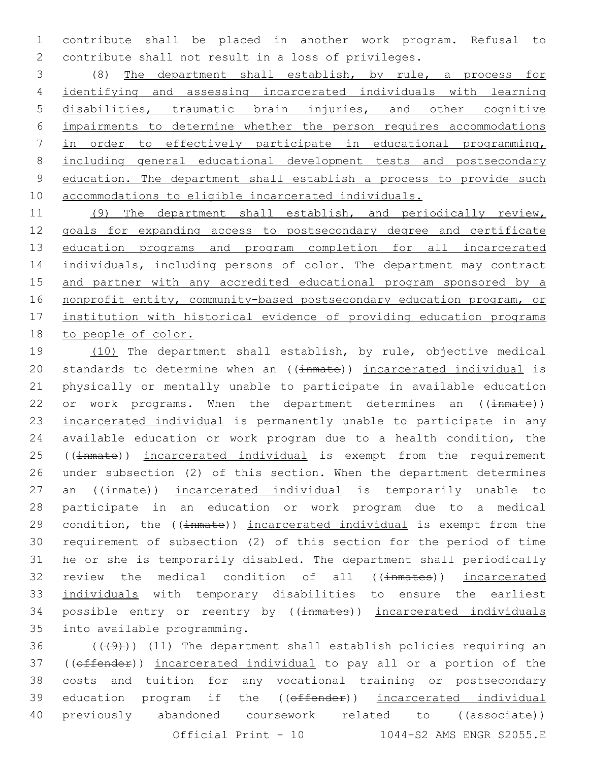contribute shall be placed in another work program. Refusal to contribute shall not result in a loss of privileges.

 (8) The department shall establish, by rule, a process for identifying and assessing incarcerated individuals with learning disabilities, traumatic brain injuries, and other cognitive impairments to determine whether the person requires accommodations in order to effectively participate in educational programming, including general educational development tests and postsecondary education. The department shall establish a process to provide such accommodations to eligible incarcerated individuals.

 (9) The department shall establish, and periodically review, goals for expanding access to postsecondary degree and certificate 13 education programs and program completion for all incarcerated 14 individuals, including persons of color. The department may contract and partner with any accredited educational program sponsored by a nonprofit entity, community-based postsecondary education program, or institution with historical evidence of providing education programs to people of color.

19 (10) The department shall establish, by rule, objective medical 20 standards to determine when an ((inmate)) incarcerated individual is physically or mentally unable to participate in available education 22 or work programs. When the department determines an  $((\text{immate}))$  incarcerated individual is permanently unable to participate in any available education or work program due to a health condition, the 25 ((inmate)) incarcerated individual is exempt from the requirement under subsection (2) of this section. When the department determines 27 an ((inmate)) incarcerated individual is temporarily unable to participate in an education or work program due to a medical 29 condition, the ((inmate)) incarcerated individual is exempt from the requirement of subsection (2) of this section for the period of time he or she is temporarily disabled. The department shall periodically 32 review the medical condition of all ((inmates)) incarcerated individuals with temporary disabilities to ensure the earliest 34 possible entry or reentry by ((inmates)) incarcerated individuals 35 into available programming.

36  $((+9)$ )  $(11)$  The department shall establish policies requiring an ((offender)) incarcerated individual to pay all or a portion of the costs and tuition for any vocational training or postsecondary 39 education program if the ((offender)) incarcerated individual 40 previously abandoned coursework related to ((associate)) Official Print - 10 1044-S2 AMS ENGR S2055.E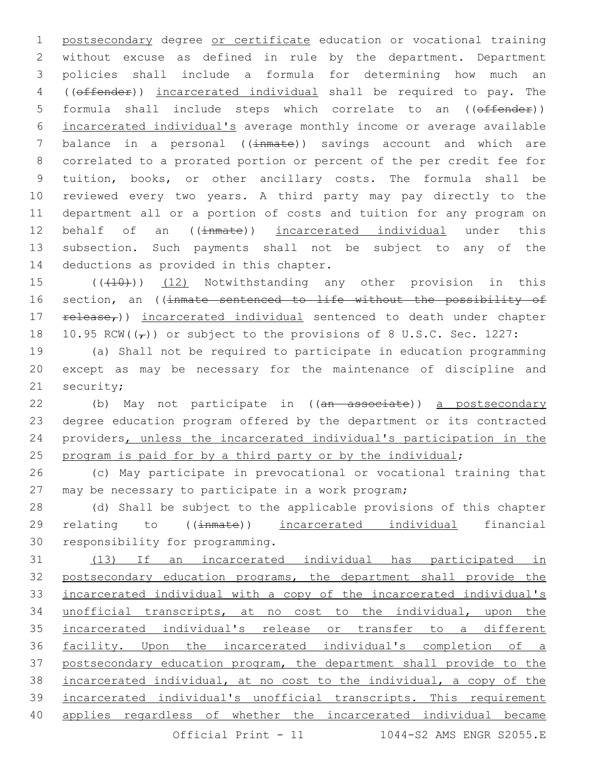postsecondary degree or certificate education or vocational training without excuse as defined in rule by the department. Department policies shall include a formula for determining how much an ((offender)) incarcerated individual shall be required to pay. The formula shall include steps which correlate to an ((offender)) incarcerated individual's average monthly income or average available 7 balance in a personal ((inmate)) savings account and which are correlated to a prorated portion or percent of the per credit fee for tuition, books, or other ancillary costs. The formula shall be reviewed every two years. A third party may pay directly to the department all or a portion of costs and tuition for any program on 12 behalf of an ((inmate)) incarcerated individual under this subsection. Such payments shall not be subject to any of the 14 deductions as provided in this chapter.

15 (((410)) (12) Notwithstanding any other provision in this 16 section, an ((inmate sentenced to life without the possibility of 17 release<sub>r</sub>)) incarcerated individual sentenced to death under chapter 18 10.95 RCW( $(\tau)$ ) or subject to the provisions of 8 U.S.C. Sec. 1227:

 (a) Shall not be required to participate in education programming except as may be necessary for the maintenance of discipline and 21 security;

22 (b) May not participate in ((an associate)) a postsecondary degree education program offered by the department or its contracted providers, unless the incarcerated individual's participation in the 25 program is paid for by a third party or by the individual;

 (c) May participate in prevocational or vocational training that may be necessary to participate in a work program;

 (d) Shall be subject to the applicable provisions of this chapter 29 relating to ((inmate)) incarcerated individual financial 30 responsibility for programming.

 (13) If an incarcerated individual has participated in postsecondary education programs, the department shall provide the incarcerated individual with a copy of the incarcerated individual's unofficial transcripts, at no cost to the individual, upon the incarcerated individual's release or transfer to a different facility. Upon the incarcerated individual's completion of a postsecondary education program, the department shall provide to the incarcerated individual, at no cost to the individual, a copy of the incarcerated individual's unofficial transcripts. This requirement applies regardless of whether the incarcerated individual became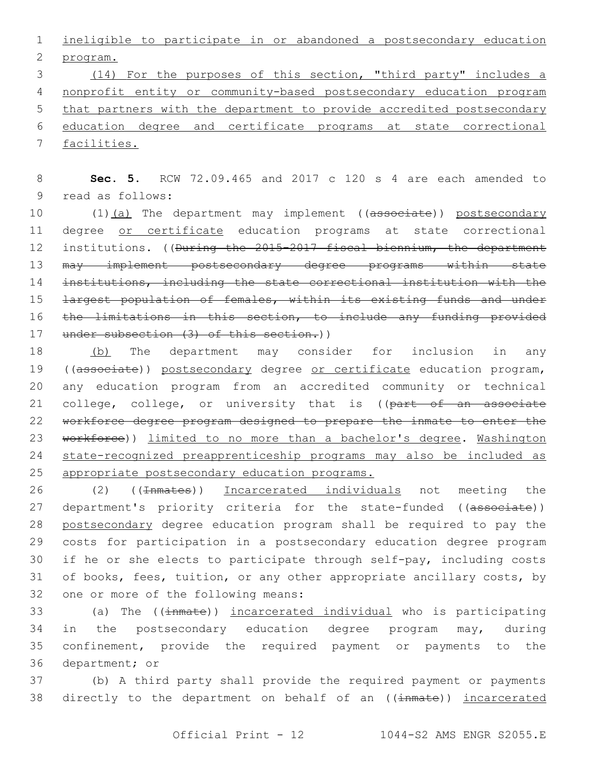1 ineligible to participate in or abandoned a postsecondary education 2 program.

 (14) For the purposes of this section, "third party" includes a nonprofit entity or community-based postsecondary education program 5 that partners with the department to provide accredited postsecondary education degree and certificate programs at state correctional facilities.

8 **Sec. 5.** RCW 72.09.465 and 2017 c 120 s 4 are each amended to 9 read as follows:

10 (1)(a) The department may implement ((associate)) postsecondary 11 degree or certificate education programs at state correctional 12 institutions. ((<del>During the 2015-2017 fiscal biennium, the department</del> 13 may implement postsecondary degree programs within state 14 institutions, including the state correctional institution with the 15 <del>largest population of females, within its existing funds and under</del> 16 the limitations in this section, to include any funding provided 17 under subsection (3) of this section.))

18 (b) The department may consider for inclusion in any 19 ((associate)) postsecondary degree or certificate education program, 20 any education program from an accredited community or technical 21 college, college, or university that is ((part of an associate 22 workforce degree program designed to prepare the inmate to enter the 23 workforce)) limited to no more than a bachelor's degree. Washington 24 state-recognized preapprenticeship programs may also be included as 25 appropriate postsecondary education programs.

26 (2) ((<del>Inmates</del>)) Incarcerated individuals not meeting the 27 department's priority criteria for the state-funded ((associate)) 28 postsecondary degree education program shall be required to pay the 29 costs for participation in a postsecondary education degree program 30 if he or she elects to participate through self-pay, including costs 31 of books, fees, tuition, or any other appropriate ancillary costs, by 32 one or more of the following means:

 (a) The ((inmate)) incarcerated individual who is participating in the postsecondary education degree program may, during confinement, provide the required payment or payments to the 36 department; or

37 (b) A third party shall provide the required payment or payments 38 directly to the department on behalf of an ((inmate)) incarcerated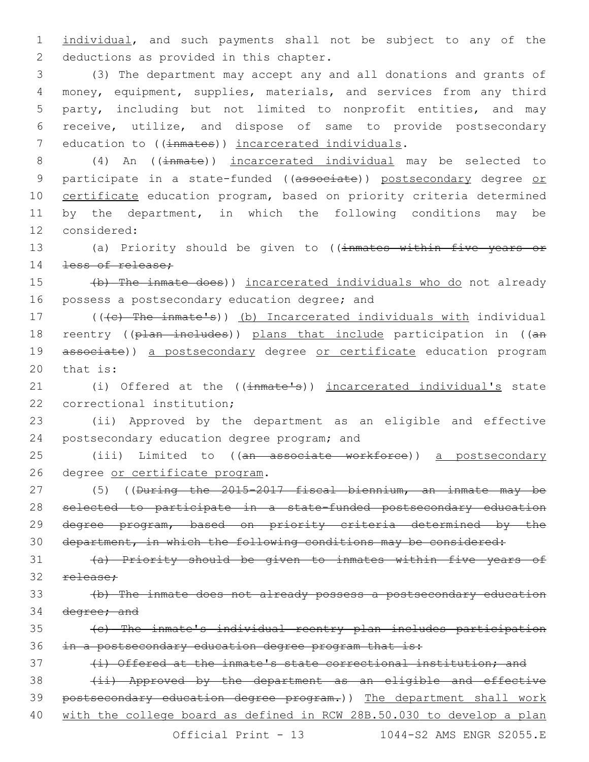1 individual, and such payments shall not be subject to any of the 2 deductions as provided in this chapter.

 (3) The department may accept any and all donations and grants of money, equipment, supplies, materials, and services from any third party, including but not limited to nonprofit entities, and may receive, utilize, and dispose of same to provide postsecondary 7 education to ((inmates)) incarcerated individuals.

8 (4) An ((inmate)) incarcerated individual may be selected to 9 participate in a state-funded ((associate)) postsecondary degree or 10 certificate education program, based on priority criteria determined 11 by the department, in which the following conditions may be 12 considered:

13 (a) Priority should be given to ((inmates within five years or 14 <del>less of release;</del>

15 (b) The inmate does)) incarcerated individuals who do not already 16 possess a postsecondary education degree; and

17 (((c) The inmate's)) (b) Incarcerated individuals with individual 18 reentry ((plan includes)) plans that include participation in ((an 19 associate)) a postsecondary degree or certificate education program  $20$  that is:

21 (i) Offered at the ((inmate's)) incarcerated individual's state 22 correctional institution;

23 (ii) Approved by the department as an eligible and effective 24 postsecondary education degree program; and

25 (iii) Limited to ((an associate workforce)) a postsecondary 26 degree or certificate program.

 (5) ((During the 2015-2017 fiscal biennium, an inmate may be selected to participate in a state-funded postsecondary education degree program, based on priority criteria determined by the department, in which the following conditions may be considered:

31 (a) Priority should be given to inmates within five years of 32 release:

33 (b) The inmate does not already possess a postsecondary education 34 degree; and

35 (c) The inmate's individual reentry plan includes participation 36 in a postsecondary education degree program that is:

37 (i) Offered at the inmate's state correctional institution; and

38 (ii) Approved by the department as an eligible and effective 39 postsecondary education degree program.)) The department shall work 40 with the college board as defined in RCW 28B.50.030 to develop a plan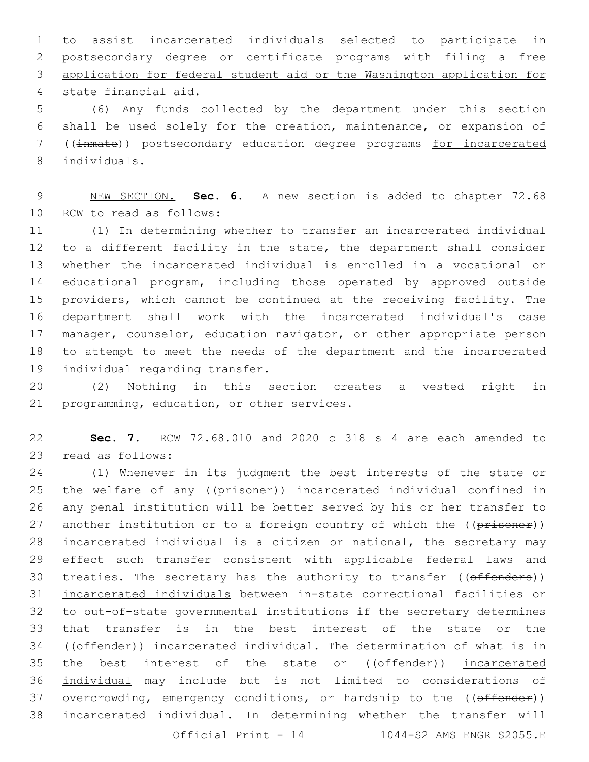to assist incarcerated individuals selected to participate in postsecondary degree or certificate programs with filing a free application for federal student aid or the Washington application for state financial aid.4

 (6) Any funds collected by the department under this section shall be used solely for the creation, maintenance, or expansion of ((inmate)) postsecondary education degree programs for incarcerated 8 individuals.

 NEW SECTION. **Sec. 6.** A new section is added to chapter 72.68 10 RCW to read as follows:

 (1) In determining whether to transfer an incarcerated individual to a different facility in the state, the department shall consider whether the incarcerated individual is enrolled in a vocational or educational program, including those operated by approved outside providers, which cannot be continued at the receiving facility. The department shall work with the incarcerated individual's case 17 manager, counselor, education navigator, or other appropriate person to attempt to meet the needs of the department and the incarcerated 19 individual regarding transfer.

 (2) Nothing in this section creates a vested right in 21 programming, education, or other services.

 **Sec. 7.** RCW 72.68.010 and 2020 c 318 s 4 are each amended to 23 read as follows:

 (1) Whenever in its judgment the best interests of the state or 25 the welfare of any ((prisoner)) incarcerated individual confined in any penal institution will be better served by his or her transfer to 27 another institution or to a foreign country of which the ((prisoner)) 28 incarcerated individual is a citizen or national, the secretary may effect such transfer consistent with applicable federal laws and 30 treaties. The secretary has the authority to transfer ((offenders)) incarcerated individuals between in-state correctional facilities or to out-of-state governmental institutions if the secretary determines that transfer is in the best interest of the state or the 34 ((offender)) incarcerated individual. The determination of what is in 35 the best interest of the state or (( $\theta$ ffender)) incarcerated individual may include but is not limited to considerations of 37 overcrowding, emergency conditions, or hardship to the ((offender)) incarcerated individual. In determining whether the transfer will

Official Print - 1044-S2 AMS ENGR S2055.E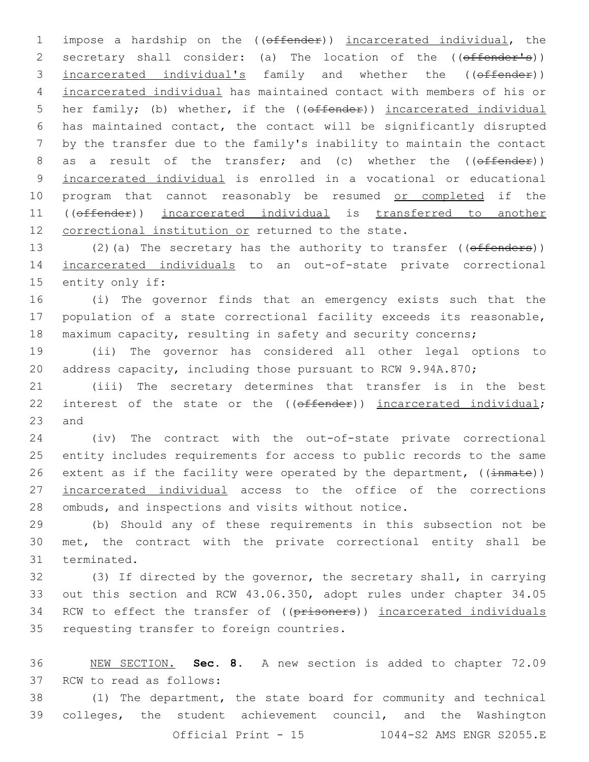1 impose a hardship on the ((offender)) incarcerated individual, the 2 secretary shall consider: (a) The location of the ((offender's)) 3 incarcerated individual's family and whether the ((offender)) 4 incarcerated individual has maintained contact with members of his or 5 her family; (b) whether, if the ((offender)) incarcerated individual 6 has maintained contact, the contact will be significantly disrupted 7 by the transfer due to the family's inability to maintain the contact 8 as a result of the transfer; and (c) whether the ((offender)) 9 incarcerated individual is enrolled in a vocational or educational 10 program that cannot reasonably be resumed or completed if the 11 ((offender)) incarcerated individual is transferred to another 12 correctional institution or returned to the state.

13 (2)(a) The secretary has the authority to transfer ((offenders)) 14 incarcerated individuals to an out-of-state private correctional 15 entity only if:

16 (i) The governor finds that an emergency exists such that the 17 population of a state correctional facility exceeds its reasonable, 18 maximum capacity, resulting in safety and security concerns;

19 (ii) The governor has considered all other legal options to 20 address capacity, including those pursuant to RCW 9.94A.870;

21 (iii) The secretary determines that transfer is in the best 22 interest of the state or the ((offender)) incarcerated individual;  $23$  and

24 (iv) The contract with the out-of-state private correctional 25 entity includes requirements for access to public records to the same 26 extent as if the facility were operated by the department,  $((\text{immate}))$ 27 incarcerated individual access to the office of the corrections 28 ombuds, and inspections and visits without notice.

29 (b) Should any of these requirements in this subsection not be 30 met, the contract with the private correctional entity shall be 31 terminated.

32 (3) If directed by the governor, the secretary shall, in carrying 33 out this section and RCW 43.06.350, adopt rules under chapter 34.05 34 RCW to effect the transfer of ((prisoners)) incarcerated individuals 35 requesting transfer to foreign countries.

 NEW SECTION. **Sec. 8.** A new section is added to chapter 72.09 37 RCW to read as follows: (1) The department, the state board for community and technical colleges, the student achievement council, and the Washington

```
Official Print - 15 1044-S2 AMS ENGR S2055.E
```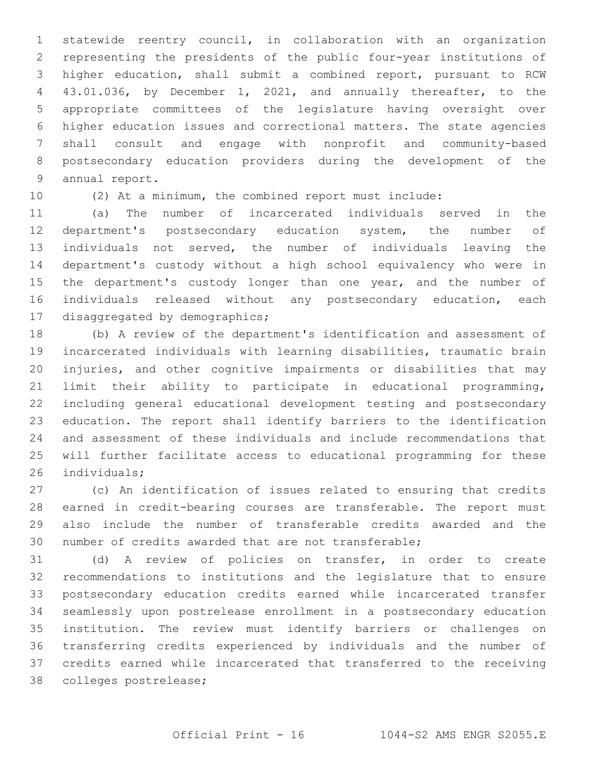statewide reentry council, in collaboration with an organization representing the presidents of the public four-year institutions of higher education, shall submit a combined report, pursuant to RCW 43.01.036, by December 1, 2021, and annually thereafter, to the appropriate committees of the legislature having oversight over higher education issues and correctional matters. The state agencies shall consult and engage with nonprofit and community-based postsecondary education providers during the development of the 9 annual report.

(2) At a minimum, the combined report must include:

 (a) The number of incarcerated individuals served in the department's postsecondary education system, the number of individuals not served, the number of individuals leaving the department's custody without a high school equivalency who were in 15 the department's custody longer than one year, and the number of individuals released without any postsecondary education, each 17 disaggregated by demographics;

 (b) A review of the department's identification and assessment of incarcerated individuals with learning disabilities, traumatic brain injuries, and other cognitive impairments or disabilities that may limit their ability to participate in educational programming, including general educational development testing and postsecondary education. The report shall identify barriers to the identification and assessment of these individuals and include recommendations that will further facilitate access to educational programming for these 26 individuals;

 (c) An identification of issues related to ensuring that credits earned in credit-bearing courses are transferable. The report must also include the number of transferable credits awarded and the number of credits awarded that are not transferable;

 (d) A review of policies on transfer, in order to create recommendations to institutions and the legislature that to ensure postsecondary education credits earned while incarcerated transfer seamlessly upon postrelease enrollment in a postsecondary education institution. The review must identify barriers or challenges on transferring credits experienced by individuals and the number of credits earned while incarcerated that transferred to the receiving 38 colleges postrelease;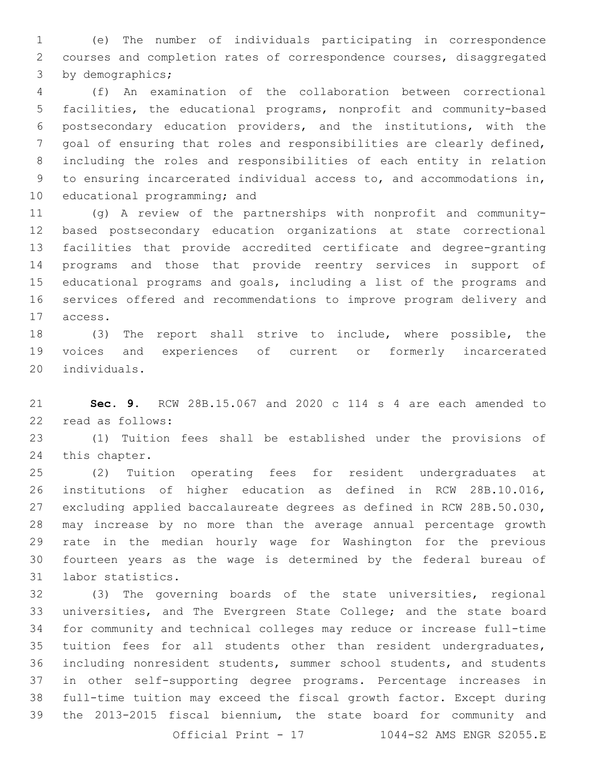(e) The number of individuals participating in correspondence courses and completion rates of correspondence courses, disaggregated 3 by demographics;

 (f) An examination of the collaboration between correctional facilities, the educational programs, nonprofit and community-based postsecondary education providers, and the institutions, with the goal of ensuring that roles and responsibilities are clearly defined, including the roles and responsibilities of each entity in relation to ensuring incarcerated individual access to, and accommodations in, 10 educational programming; and

 (g) A review of the partnerships with nonprofit and community- based postsecondary education organizations at state correctional facilities that provide accredited certificate and degree-granting programs and those that provide reentry services in support of educational programs and goals, including a list of the programs and services offered and recommendations to improve program delivery and 17 access.

 (3) The report shall strive to include, where possible, the voices and experiences of current or formerly incarcerated 20 individuals.

 **Sec. 9.** RCW 28B.15.067 and 2020 c 114 s 4 are each amended to 22 read as follows:

 (1) Tuition fees shall be established under the provisions of 24 this chapter.

 (2) Tuition operating fees for resident undergraduates at institutions of higher education as defined in RCW 28B.10.016, excluding applied baccalaureate degrees as defined in RCW 28B.50.030, may increase by no more than the average annual percentage growth rate in the median hourly wage for Washington for the previous fourteen years as the wage is determined by the federal bureau of 31 labor statistics.

 (3) The governing boards of the state universities, regional universities, and The Evergreen State College; and the state board for community and technical colleges may reduce or increase full-time tuition fees for all students other than resident undergraduates, including nonresident students, summer school students, and students in other self-supporting degree programs. Percentage increases in full-time tuition may exceed the fiscal growth factor. Except during the 2013-2015 fiscal biennium, the state board for community and Official Print - 1044-S2 AMS ENGR S2055.E